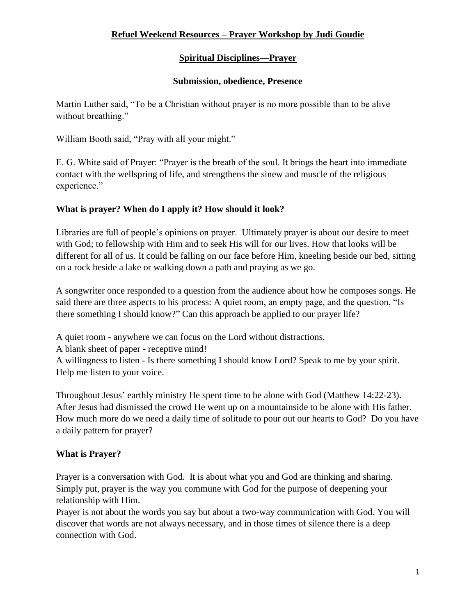### **Spiritual Disciplines—Prayer**

#### **Submission, obedience, Presence**

Martin Luther said, "To be a Christian without prayer is no more possible than to be alive without breathing."

William Booth said, "Pray with all your might."

E. G. White said of Prayer: "Prayer is the breath of the soul. It brings the heart into immediate contact with the wellspring of life, and strengthens the sinew and muscle of the religious experience."

## **What is prayer? When do I apply it? How should it look?**

Libraries are full of people's opinions on prayer. Ultimately prayer is about our desire to meet with God; to fellowship with Him and to seek His will for our lives. How that looks will be different for all of us. It could be falling on our face before Him, kneeling beside our bed, sitting on a rock beside a lake or walking down a path and praying as we go.

A songwriter once responded to a question from the audience about how he composes songs. He said there are three aspects to his process: A quiet room, an empty page, and the question, "Is there something I should know?" Can this approach be applied to our prayer life?

A quiet room - anywhere we can focus on the Lord without distractions. A blank sheet of paper - receptive mind! A willingness to listen - Is there something I should know Lord? Speak to me by your spirit. Help me listen to your voice.

Throughout Jesus' earthly ministry He spent time to be alone with God (Matthew 14:22-23). After Jesus had dismissed the crowd He went up on a mountainside to be alone with His father. How much more do we need a daily time of solitude to pour out our hearts to God? Do you have a daily pattern for prayer?

# **What is Prayer?**

Prayer is a conversation with God. It is about what you and God are thinking and sharing. Simply put, prayer is the way you commune with God for the purpose of deepening your relationship with Him.

Prayer is not about the words you say but about a two-way communication with God. You will discover that words are not always necessary, and in those times of silence there is a deep connection with God.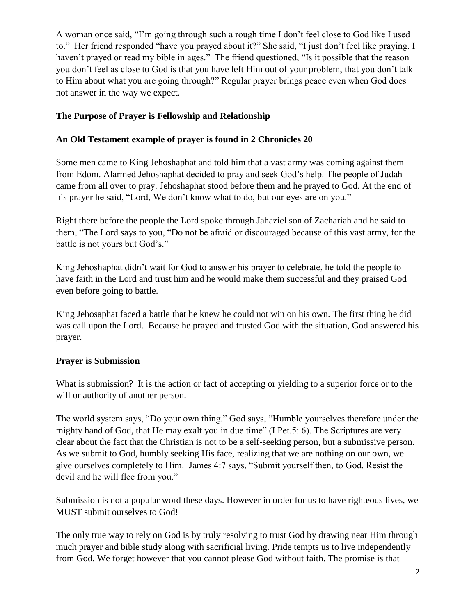A woman once said, "I'm going through such a rough time I don't feel close to God like I used to." Her friend responded "have you prayed about it?" She said, "I just don't feel like praying. I haven't prayed or read my bible in ages." The friend questioned, "Is it possible that the reason you don't feel as close to God is that you have left Him out of your problem, that you don't talk to Him about what you are going through?" Regular prayer brings peace even when God does not answer in the way we expect.

#### **The Purpose of Prayer is Fellowship and Relationship**

#### **An Old Testament example of prayer is found in 2 Chronicles 20**

Some men came to King Jehoshaphat and told him that a vast army was coming against them from Edom. Alarmed Jehoshaphat decided to pray and seek God's help. The people of Judah came from all over to pray. Jehoshaphat stood before them and he prayed to God. At the end of his prayer he said, "Lord, We don't know what to do, but our eyes are on you."

Right there before the people the Lord spoke through Jahaziel son of Zachariah and he said to them, "The Lord says to you, "Do not be afraid or discouraged because of this vast army, for the battle is not yours but God's."

King Jehoshaphat didn't wait for God to answer his prayer to celebrate, he told the people to have faith in the Lord and trust him and he would make them successful and they praised God even before going to battle.

King Jehosaphat faced a battle that he knew he could not win on his own. The first thing he did was call upon the Lord. Because he prayed and trusted God with the situation, God answered his prayer.

#### **Prayer is Submission**

What is submission? It is the action or fact of accepting or yielding to a superior force or to the will or authority of another person.

The world system says, "Do your own thing." God says, "Humble yourselves therefore under the mighty hand of God, that He may exalt you in due time" (I Pet.5: 6). The Scriptures are very clear about the fact that the Christian is not to be a self-seeking person, but a submissive person. As we submit to God, humbly seeking His face, realizing that we are nothing on our own, we give ourselves completely to Him. James 4:7 says, "Submit yourself then, to God. Resist the devil and he will flee from you."

Submission is not a popular word these days. However in order for us to have righteous lives, we MUST submit ourselves to God!

The only true way to rely on God is by truly resolving to trust God by drawing near Him through much prayer and bible study along with sacrificial living. Pride tempts us to live independently from God. We forget however that you cannot please God without faith. The promise is that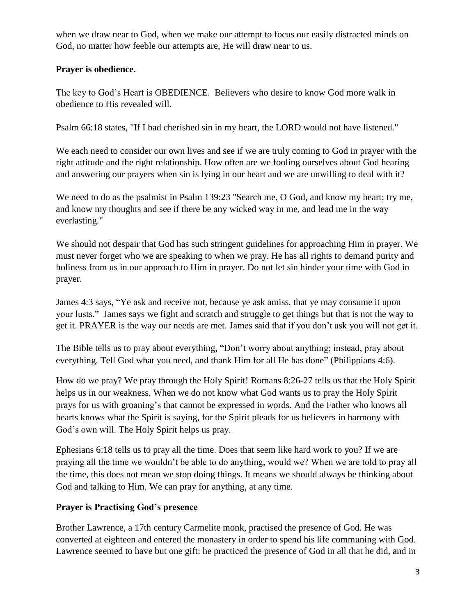when we draw near to God, when we make our attempt to focus our easily distracted minds on God, no matter how feeble our attempts are, He will draw near to us.

#### **Prayer is obedience.**

The key to God's Heart is OBEDIENCE. Believers who desire to know God more walk in obedience to His revealed will.

Psalm 66:18 states, "If I had cherished sin in my heart, the LORD would not have listened."

We each need to consider our own lives and see if we are truly coming to God in prayer with the right attitude and the right relationship. How often are we fooling ourselves about God hearing and answering our prayers when sin is lying in our heart and we are unwilling to deal with it?

We need to do as the psalmist in [Psalm 139:23](http://www.sermoncentral.com/bible/NIV/Psalm-139.asp?passage=Psalm%20139%3A23&ScrptureHover=sermon-50068-Obedience%20And%20Prayer) "Search me, O God, and know my heart; try me, and know my thoughts and see if there be any wicked way in me, and lead me in the way everlasting."

We should not despair that God has such stringent guidelines for approaching Him in prayer. We must never forget who we are speaking to when we pray. He has all rights to demand purity and holiness from us in our approach to Him in prayer. Do not let sin hinder your time with God in prayer.

James 4:3 says, "Ye ask and receive not, because ye ask amiss, that ye may consume it upon your lusts." James says we fight and scratch and struggle to get things but that is not the way to get it. PRAYER is the way our needs are met. James said that if you don't ask you will not get it.

The Bible tells us to pray about everything, "Don't worry about anything; instead, pray about everything. Tell God what you need, and thank Him for all He has done" (Philippians 4:6).

How do we pray? We pray through the Holy Spirit! Romans 8:26-27 tells us that the Holy Spirit helps us in our weakness. When we do not know what God wants us to pray the Holy Spirit prays for us with groaning's that cannot be expressed in words. And the Father who knows all hearts knows what the Spirit is saying, for the Spirit pleads for us believers in harmony with God's own will. The Holy Spirit helps us pray.

Ephesians 6:18 tells us to pray all the time. Does that seem like hard work to you? If we are praying all the time we wouldn't be able to do anything, would we? When we are told to pray all the time, this does not mean we stop doing things. It means we should always be thinking about God and talking to Him. We can pray for anything, at any time.

### **Prayer is Practising God's presence**

Brother Lawrence, a 17th century Carmelite monk, practised the presence of God. He was converted at eighteen and entered the monastery in order to spend his life communing with God. Lawrence seemed to have but one gift: he practiced the presence of God in all that he did, and in